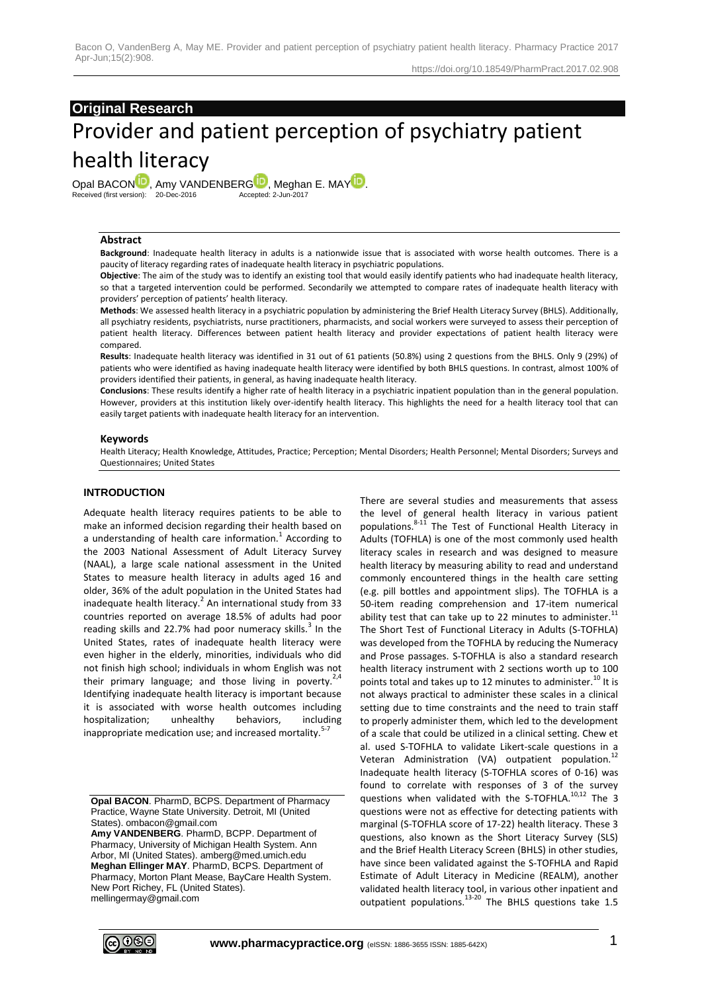## **Original Research**

# Provider and patient perception of psychiatry patient health literacy

Opal BACO[N](http://orcid.org/0000-0002-1764-4828)<sup>D</sup>, Amy VANDENBER[G](http://orcid.org/0000-0002-2294-2694)<sup>D</sup>, Meghan E. MA[Y](http://orcid.org/0000-0001-5908-4526)<sup>D</sup>.<br>Received (first version): 20-Dec-2016 **Accepted: 2-Jun-2017** Received (first version): 20-Dec-2016

#### **Abstract**

**Background**: Inadequate health literacy in adults is a nationwide issue that is associated with worse health outcomes. There is a paucity of literacy regarding rates of inadequate health literacy in psychiatric populations.

**Objective**: The aim of the study was to identify an existing tool that would easily identify patients who had inadequate health literacy, so that a targeted intervention could be performed. Secondarily we attempted to compare rates of inadequate health literacy with providers' perception of patients' health literacy.

**Methods**: We assessed health literacy in a psychiatric population by administering the Brief Health Literacy Survey (BHLS). Additionally, all psychiatry residents, psychiatrists, nurse practitioners, pharmacists, and social workers were surveyed to assess their perception of patient health literacy. Differences between patient health literacy and provider expectations of patient health literacy were compared.

**Results**: Inadequate health literacy was identified in 31 out of 61 patients (50.8%) using 2 questions from the BHLS. Only 9 (29%) of patients who were identified as having inadequate health literacy were identified by both BHLS questions. In contrast, almost 100% of providers identified their patients, in general, as having inadequate health literacy.

**Conclusions**: These results identify a higher rate of health literacy in a psychiatric inpatient population than in the general population. However, providers at this institution likely over-identify health literacy. This highlights the need for a health literacy tool that can easily target patients with inadequate health literacy for an intervention.

#### **Keywords**

Health Literacy; Health Knowledge, Attitudes, Practice; Perception; Mental Disorders; Health Personnel; Mental Disorders; Surveys and Questionnaires; United States

#### **INTRODUCTION**

Adequate health literacy requires patients to be able to make an informed decision regarding their health based on a understanding of health care information.<sup>1</sup> According to the 2003 National Assessment of Adult Literacy Survey (NAAL), a large scale national assessment in the United States to measure health literacy in adults aged 16 and older, 36% of the adult population in the United States had inadequate health literacy.<sup>2</sup> An international study from 33 countries reported on average 18.5% of adults had poor reading skills and 22.7% had poor numeracy skills.<sup>3</sup> In the United States, rates of inadequate health literacy were even higher in the elderly, minorities, individuals who did not finish high school; individuals in whom English was not their primary language; and those living in poverty.<sup>2,4</sup> Identifying inadequate health literacy is important because it is associated with worse health outcomes including hospitalization; unhealthy behaviors, including inappropriate medication use; and increased mortality.<sup>5-7</sup>

**Amy VANDENBERG**. PharmD, BCPP. Department of Pharmacy, University of Michigan Health System. Ann Arbor, MI (United States). amberg@med.umich.edu **Meghan Ellinger MAY**. PharmD, BCPS. Department of Pharmacy, Morton Plant Mease, BayCare Health System. New Port Richey, FL (United States). mellingermay@gmail.com

There are several studies and measurements that assess the level of general health literacy in various patient populations.8-11 The Test of Functional Health Literacy in Adults (TOFHLA) is one of the most commonly used health literacy scales in research and was designed to measure health literacy by measuring ability to read and understand commonly encountered things in the health care setting (e.g. pill bottles and appointment slips). The TOFHLA is a 50-item reading comprehension and 17-item numerical ability test that can take up to 22 minutes to administer. $^{11}$ The Short Test of Functional Literacy in Adults (S-TOFHLA) was developed from the TOFHLA by reducing the Numeracy and Prose passages. S-TOFHLA is also a standard research health literacy instrument with 2 sections worth up to 100 points total and takes up to 12 minutes to administer.<sup>10</sup> It is not always practical to administer these scales in a clinical setting due to time constraints and the need to train staff to properly administer them, which led to the development of a scale that could be utilized in a clinical setting. Chew et al. used S-TOFHLA to validate Likert-scale questions in a Veteran Administration (VA) outpatient population.<sup>12</sup> Inadequate health literacy (S-TOFHLA scores of 0-16) was found to correlate with responses of 3 of the survey questions when validated with the S-TOFHLA.<sup>10,12</sup> The 3 questions were not as effective for detecting patients with marginal (S-TOFHLA score of 17-22) health literacy. These 3 questions, also known as the Short Literacy Survey (SLS) and the Brief Health Literacy Screen (BHLS) in other studies, have since been validated against the S-TOFHLA and Rapid Estimate of Adult Literacy in Medicine (REALM), another validated health literacy tool, in various other inpatient and outpatient populations. $13-20$  The BHLS questions take 1.5



**Opal BACON**. PharmD, BCPS. Department of Pharmacy Practice, Wayne State University. Detroit, MI (United States). ombacon@gmail.com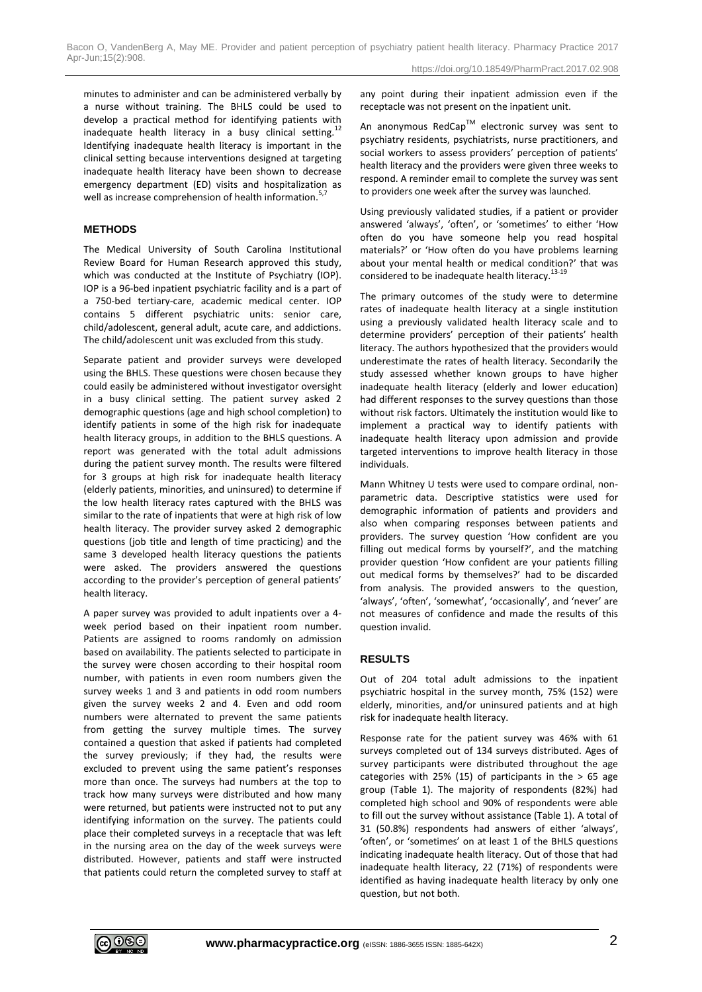minutes to administer and can be administered verbally by a nurse without training. The BHLS could be used to develop a practical method for identifying patients with inadequate health literacy in a busy clinical setting.<sup>12</sup> Identifying inadequate health literacy is important in the clinical setting because interventions designed at targeting inadequate health literacy have been shown to decrease emergency department (ED) visits and hospitalization as well as increase comprehension of health information.<sup>5,</sup>

## **METHODS**

The Medical University of South Carolina Institutional Review Board for Human Research approved this study, which was conducted at the Institute of Psychiatry (IOP). IOP is a 96-bed inpatient psychiatric facility and is a part of a 750-bed tertiary-care, academic medical center. IOP contains 5 different psychiatric units: senior care, child/adolescent, general adult, acute care, and addictions. The child/adolescent unit was excluded from this study.

Separate patient and provider surveys were developed using the BHLS. These questions were chosen because they could easily be administered without investigator oversight in a busy clinical setting. The patient survey asked 2 demographic questions (age and high school completion) to identify patients in some of the high risk for inadequate health literacy groups, in addition to the BHLS questions. A report was generated with the total adult admissions during the patient survey month. The results were filtered for 3 groups at high risk for inadequate health literacy (elderly patients, minorities, and uninsured) to determine if the low health literacy rates captured with the BHLS was similar to the rate of inpatients that were at high risk of low health literacy. The provider survey asked 2 demographic questions (job title and length of time practicing) and the same 3 developed health literacy questions the patients were asked. The providers answered the questions according to the provider's perception of general patients' health literacy.

A paper survey was provided to adult inpatients over a 4 week period based on their inpatient room number. Patients are assigned to rooms randomly on admission based on availability. The patients selected to participate in the survey were chosen according to their hospital room number, with patients in even room numbers given the survey weeks 1 and 3 and patients in odd room numbers given the survey weeks 2 and 4. Even and odd room numbers were alternated to prevent the same patients from getting the survey multiple times. The survey contained a question that asked if patients had completed the survey previously; if they had, the results were excluded to prevent using the same patient's responses more than once. The surveys had numbers at the top to track how many surveys were distributed and how many were returned, but patients were instructed not to put any identifying information on the survey. The patients could place their completed surveys in a receptacle that was left in the nursing area on the day of the week surveys were distributed. However, patients and staff were instructed that patients could return the completed survey to staff at

any point during their inpatient admission even if the receptacle was not present on the inpatient unit.

An anonymous RedCap<sup>TM</sup> electronic survey was sent to psychiatry residents, psychiatrists, nurse practitioners, and social workers to assess providers' perception of patients' health literacy and the providers were given three weeks to respond. A reminder email to complete the survey was sent to providers one week after the survey was launched.

Using previously validated studies, if a patient or provider answered 'always', 'often', or 'sometimes' to either 'How often do you have someone help you read hospital materials?' or 'How often do you have problems learning about your mental health or medical condition?' that was considered to be inadequate health literacy.<sup>13-19</sup>

The primary outcomes of the study were to determine rates of inadequate health literacy at a single institution using a previously validated health literacy scale and to determine providers' perception of their patients' health literacy. The authors hypothesized that the providers would underestimate the rates of health literacy. Secondarily the study assessed whether known groups to have higher inadequate health literacy (elderly and lower education) had different responses to the survey questions than those without risk factors. Ultimately the institution would like to implement a practical way to identify patients with inadequate health literacy upon admission and provide targeted interventions to improve health literacy in those individuals.

Mann Whitney U tests were used to compare ordinal, nonparametric data. Descriptive statistics were used for demographic information of patients and providers and also when comparing responses between patients and providers. The survey question 'How confident are you filling out medical forms by yourself?', and the matching provider question 'How confident are your patients filling out medical forms by themselves?' had to be discarded from analysis. The provided answers to the question, 'always', 'often', 'somewhat', 'occasionally', and 'never' are not measures of confidence and made the results of this question invalid.

## **RESULTS**

Out of 204 total adult admissions to the inpatient psychiatric hospital in the survey month, 75% (152) were elderly, minorities, and/or uninsured patients and at high risk for inadequate health literacy.

Response rate for the patient survey was 46% with 61 surveys completed out of 134 surveys distributed. Ages of survey participants were distributed throughout the age categories with 25% (15) of participants in the  $> 65$  age group (Table 1). The majority of respondents (82%) had completed high school and 90% of respondents were able to fill out the survey without assistance (Table 1). A total of 31 (50.8%) respondents had answers of either 'always', 'often', or 'sometimes' on at least 1 of the BHLS questions indicating inadequate health literacy. Out of those that had inadequate health literacy, 22 (71%) of respondents were identified as having inadequate health literacy by only one question, but not both.

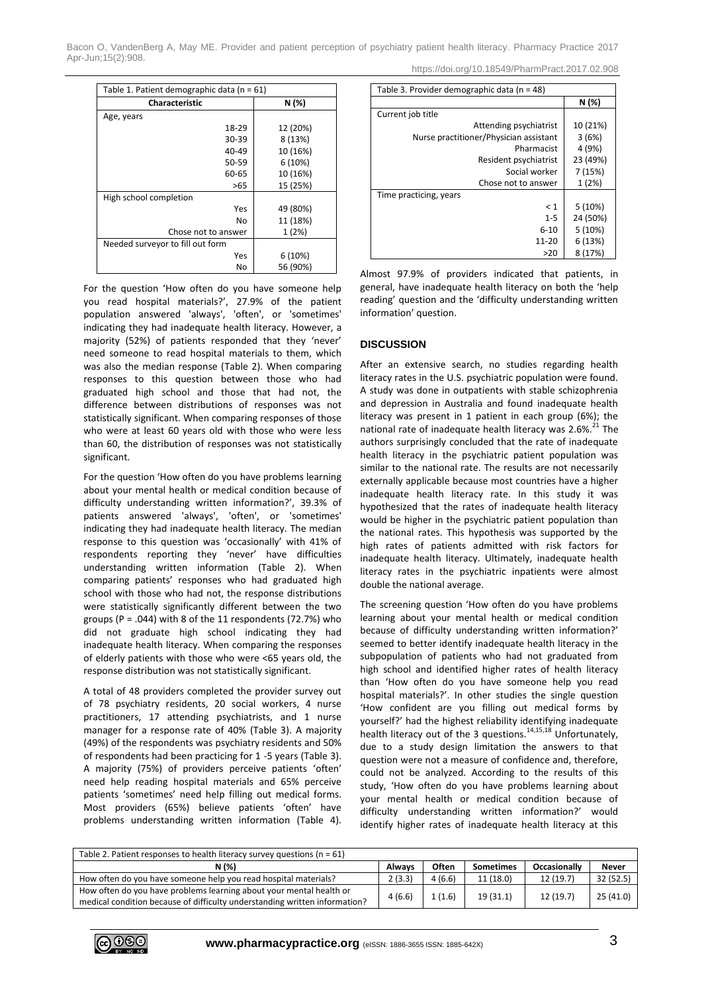Bacon O, VandenBerg A, May ME. Provider and patient perception of psychiatry patient health literacy. Pharmacy Practice 2017 Apr-Jun;15(2):908.

| https://doi.org/10.18549/PharmPract.2017.02.908 |  |
|-------------------------------------------------|--|
|                                                 |  |

| Table 1. Patient demographic data (n = 61) |          |  |  |  |
|--------------------------------------------|----------|--|--|--|
| <b>Characteristic</b>                      | N (%)    |  |  |  |
| Age, years                                 |          |  |  |  |
| 18-29                                      | 12 (20%) |  |  |  |
| 30-39                                      | 8 (13%)  |  |  |  |
| 40-49                                      | 10 (16%) |  |  |  |
| 50-59                                      | 6(10%)   |  |  |  |
| 60-65                                      | 10 (16%) |  |  |  |
| >65                                        | 15 (25%) |  |  |  |
| High school completion                     |          |  |  |  |
| Yes                                        | 49 (80%) |  |  |  |
| No                                         | 11 (18%) |  |  |  |
| Chose not to answer                        | 1(2%)    |  |  |  |
| Needed surveyor to fill out form           |          |  |  |  |
| Yes                                        | 6(10%)   |  |  |  |
| No                                         | 56 (90%) |  |  |  |

For the question 'How often do you have someone help you read hospital materials?', 27.9% of the patient population answered 'always', 'often', or 'sometimes' indicating they had inadequate health literacy. However, a majority (52%) of patients responded that they 'never' need someone to read hospital materials to them, which was also the median response (Table 2). When comparing responses to this question between those who had graduated high school and those that had not, the difference between distributions of responses was not statistically significant. When comparing responses of those who were at least 60 years old with those who were less than 60, the distribution of responses was not statistically significant.

For the question 'How often do you have problems learning about your mental health or medical condition because of difficulty understanding written information?', 39.3% of patients answered 'always', 'often', or 'sometimes' indicating they had inadequate health literacy. The median response to this question was 'occasionally' with 41% of respondents reporting they 'never' have difficulties understanding written information (Table 2). When comparing patients' responses who had graduated high school with those who had not, the response distributions were statistically significantly different between the two groups ( $P = .044$ ) with 8 of the 11 respondents (72.7%) who did not graduate high school indicating they had inadequate health literacy. When comparing the responses of elderly patients with those who were <65 years old, the response distribution was not statistically significant.

A total of 48 providers completed the provider survey out of 78 psychiatry residents, 20 social workers, 4 nurse practitioners, 17 attending psychiatrists, and 1 nurse manager for a response rate of 40% (Table 3). A majority (49%) of the respondents was psychiatry residents and 50% of respondents had been practicing for 1 -5 years (Table 3). A majority (75%) of providers perceive patients 'often' need help reading hospital materials and 65% perceive patients 'sometimes' need help filling out medical forms. Most providers (65%) believe patients 'often' have problems understanding written information (Table 4).

| Table 3. Provider demographic data (n = 48) |          |
|---------------------------------------------|----------|
|                                             | N (%)    |
| Current job title                           |          |
| Attending psychiatrist                      | 10 (21%) |
| Nurse practitioner/Physician assistant      | 3(6%)    |
| Pharmacist                                  | 4 (9%)   |
| Resident psychiatrist                       | 23 (49%) |
| Social worker                               | 7(15%)   |
| Chose not to answer                         | 1(2%)    |
| Time practicing, years                      |          |
| < 1                                         | 5(10%)   |
| $1 - 5$                                     | 24 (50%) |
| $6 - 10$                                    | 5(10%)   |
| 11-20                                       | 6(13%)   |
| >20                                         | 8(17%)   |

Almost 97.9% of providers indicated that patients, in general, have inadequate health literacy on both the 'help reading' question and the 'difficulty understanding written information' question.

### **DISCUSSION**

After an extensive search, no studies regarding health literacy rates in the U.S. psychiatric population were found. A study was done in outpatients with stable schizophrenia and depression in Australia and found inadequate health literacy was present in 1 patient in each group (6%); the national rate of inadequate health literacy was 2.6%. $^{21}$  The authors surprisingly concluded that the rate of inadequate health literacy in the psychiatric patient population was similar to the national rate. The results are not necessarily externally applicable because most countries have a higher inadequate health literacy rate. In this study it was hypothesized that the rates of inadequate health literacy would be higher in the psychiatric patient population than the national rates. This hypothesis was supported by the high rates of patients admitted with risk factors for inadequate health literacy. Ultimately, inadequate health literacy rates in the psychiatric inpatients were almost double the national average.

The screening question 'How often do you have problems learning about your mental health or medical condition because of difficulty understanding written information?' seemed to better identify inadequate health literacy in the subpopulation of patients who had not graduated from high school and identified higher rates of health literacy than 'How often do you have someone help you read hospital materials?'. In other studies the single question 'How confident are you filling out medical forms by yourself?' had the highest reliability identifying inadequate health literacy out of the 3 questions.<sup>14,15,18</sup> Unfortunately, due to a study design limitation the answers to that question were not a measure of confidence and, therefore, could not be analyzed. According to the results of this study, 'How often do you have problems learning about your mental health or medical condition because of difficulty understanding written information?' would identify higher rates of inadequate health literacy at this

| Table 2. Patient responses to health literacy survey questions ( $n = 61$ )                                                                       |               |        |                  |                     |              |
|---------------------------------------------------------------------------------------------------------------------------------------------------|---------------|--------|------------------|---------------------|--------------|
| N (%)                                                                                                                                             | <b>Always</b> | Often  | <b>Sometimes</b> | <b>Occasionally</b> | <b>Never</b> |
| How often do you have someone help you read hospital materials?                                                                                   | 2(3.3)        | 4(6.6) | 11 (18.0)        | 12(19.7)            | 32 (52.5)    |
| How often do you have problems learning about your mental health or<br>medical condition because of difficulty understanding written information? | 4(6.6)        | 1(1.6) | 19(31.1)         | 12 (19.7)           | 25(41.0)     |

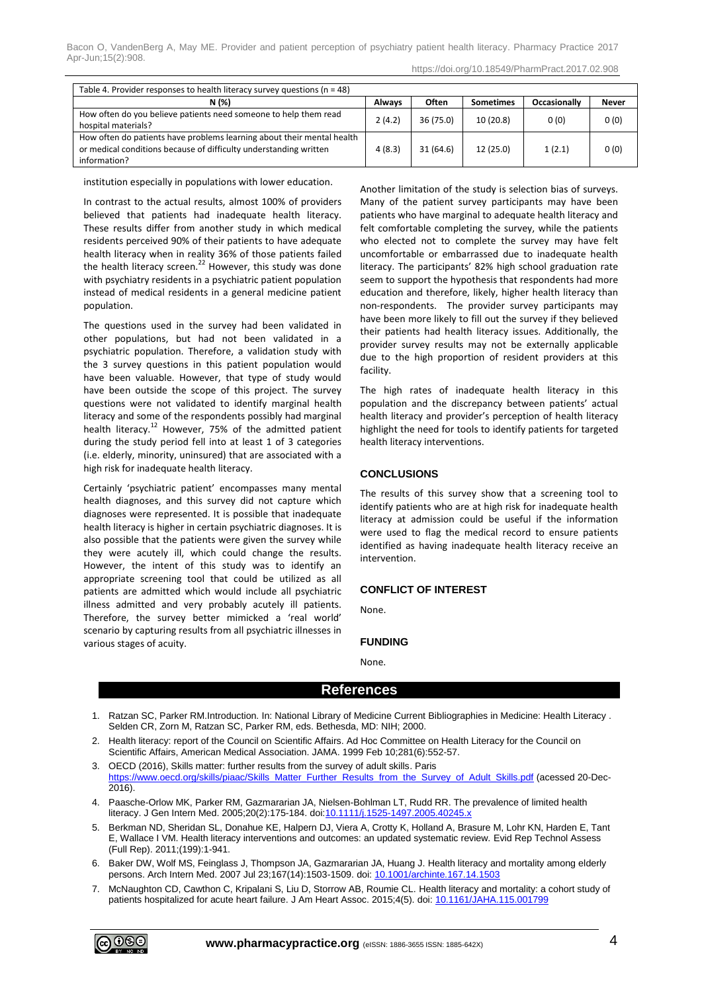| https://doi.org/10.18549/PharmPract.2017.02.908 |  |
|-------------------------------------------------|--|
|                                                 |  |

| Table 4. Provider responses to health literacy survey questions ( $n = 48$ )                                                                                |        |              |                  |                     |              |
|-------------------------------------------------------------------------------------------------------------------------------------------------------------|--------|--------------|------------------|---------------------|--------------|
| N (%)                                                                                                                                                       | Always | <b>Often</b> | <b>Sometimes</b> | <b>Occasionally</b> | <b>Never</b> |
| How often do you believe patients need someone to help them read<br>hospital materials?                                                                     | 2(4.2) | 36 (75.0)    | 10(20.8)         | 0(0)                | 0(0)         |
| How often do patients have problems learning about their mental health<br>or medical conditions because of difficulty understanding written<br>information? | 4(8.3) | 31 (64.6)    | 12 (25.0)        | 1(2.1)              | 0(0)         |

institution especially in populations with lower education.

In contrast to the actual results, almost 100% of providers believed that patients had inadequate health literacy. These results differ from another study in which medical residents perceived 90% of their patients to have adequate health literacy when in reality 36% of those patients failed the health literacy screen.<sup>22</sup> However, this study was done with psychiatry residents in a psychiatric patient population instead of medical residents in a general medicine patient population.

The questions used in the survey had been validated in other populations, but had not been validated in a psychiatric population. Therefore, a validation study with the 3 survey questions in this patient population would have been valuable. However, that type of study would have been outside the scope of this project. The survey questions were not validated to identify marginal health literacy and some of the respondents possibly had marginal health literacy.<sup>12</sup> However, 75% of the admitted patient during the study period fell into at least 1 of 3 categories (i.e. elderly, minority, uninsured) that are associated with a high risk for inadequate health literacy.

Certainly 'psychiatric patient' encompasses many mental health diagnoses, and this survey did not capture which diagnoses were represented. It is possible that inadequate health literacy is higher in certain psychiatric diagnoses. It is also possible that the patients were given the survey while they were acutely ill, which could change the results. However, the intent of this study was to identify an appropriate screening tool that could be utilized as all patients are admitted which would include all psychiatric illness admitted and very probably acutely ill patients. Therefore, the survey better mimicked a 'real world' scenario by capturing results from all psychiatric illnesses in various stages of acuity.

Another limitation of the study is selection bias of surveys. Many of the patient survey participants may have been patients who have marginal to adequate health literacy and felt comfortable completing the survey, while the patients who elected not to complete the survey may have felt uncomfortable or embarrassed due to inadequate health literacy. The participants' 82% high school graduation rate seem to support the hypothesis that respondents had more education and therefore, likely, higher health literacy than non-respondents. The provider survey participants may have been more likely to fill out the survey if they believed their patients had health literacy issues. Additionally, the provider survey results may not be externally applicable due to the high proportion of resident providers at this facility.

The high rates of inadequate health literacy in this population and the discrepancy between patients' actual health literacy and provider's perception of health literacy highlight the need for tools to identify patients for targeted health literacy interventions.

#### **CONCLUSIONS**

The results of this survey show that a screening tool to identify patients who are at high risk for inadequate health literacy at admission could be useful if the information were used to flag the medical record to ensure patients identified as having inadequate health literacy receive an intervention.

## **CONFLICT OF INTEREST**

None.

#### **FUNDING**

None.

## **References**

- 1. Ratzan SC, Parker RM.Introduction. In: National Library of Medicine Current Bibliographies in Medicine: Health Literacy . Selden CR, Zorn M, Ratzan SC, Parker RM, eds. Bethesda, MD: NIH; 2000.
- 2. Health literacy: report of the Council on Scientific Affairs. Ad Hoc Committee on Health Literacy for the Council on Scientific Affairs, American Medical Association. JAMA. 1999 Feb 10;281(6):552-57.
- 3. OECD (2016), Skills matter: further results from the survey of adult skills. Paris [https://www.oecd.org/skills/piaac/Skills\\_Matter\\_Further\\_Results\\_from\\_the\\_Survey\\_of\\_Adult\\_Skills.pdf](https://www.oecd.org/skills/piaac/Skills_Matter_Further_Results_from_the_Survey_of_Adult_Skills.pdf) (acessed 20-Dec-2016).
- 4. Paasche-Orlow MK, Parker RM, Gazmararian JA, Nielsen-Bohlman LT, Rudd RR. The prevalence of limited health literacy. J Gen Intern Med. 2005;20(2):175-184. doi[:10.1111/j.1525-1497.2005.40245.x](https://doi.org/10.1111/j.1525-1497.2005.40245.x)
- 5. Berkman ND, Sheridan SL, Donahue KE, Halpern DJ, Viera A, Crotty K, Holland A, Brasure M, Lohr KN, Harden E, Tant E, Wallace I VM. Health literacy interventions and outcomes: an updated systematic review. Evid Rep Technol Assess (Full Rep). 2011;(199):1-941.
- 6. Baker DW, Wolf MS, Feinglass J, Thompson JA, Gazmararian JA, Huang J. Health literacy and mortality among elderly persons. Arch Intern Med. 2007 Jul 23;167(14):1503-1509. doi[: 10.1001/archinte.167.14.1503](https://doi.org/10.1001/archinte.167.14.1503)
- 7. McNaughton CD, Cawthon C, Kripalani S, Liu D, Storrow AB, Roumie CL. Health literacy and mortality: a cohort study of patients hospitalized for acute heart failure. J Am Heart Assoc. 2015;4(5). doi: [10.1161/JAHA.115.001799](https://doi.org/10.1161/JAHA.115.001799)